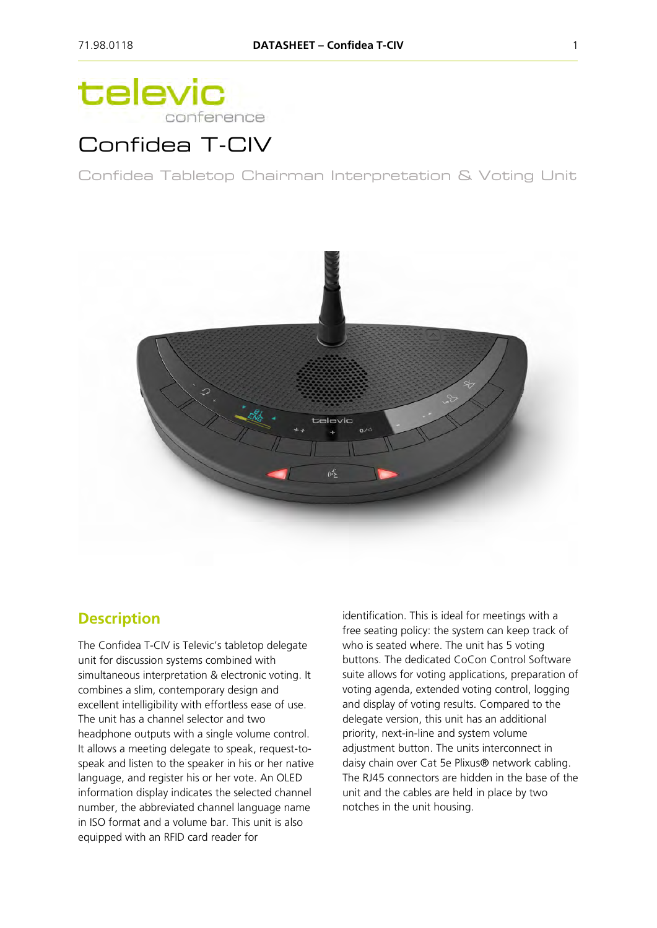# televic conference

# Confidea T-CIV

Confidea Tabletop Chairman Interpretation & Voting Unit



### **Description**

The Confidea T-CIV is Televic's tabletop delegate unit for discussion systems combined with simultaneous interpretation & electronic voting. It combines a slim, contemporary design and excellent intelligibility with effortless ease of use. The unit has a channel selector and two headphone outputs with a single volume control. It allows a meeting delegate to speak, request-tospeak and listen to the speaker in his or her native language, and register his or her vote. An OLED information display indicates the selected channel number, the abbreviated channel language name in ISO format and a volume bar. This unit is also equipped with an RFID card reader for

identification. This is ideal for meetings with a free seating policy: the system can keep track of who is seated where. The unit has 5 voting buttons. The dedicated CoCon Control Software suite allows for voting applications, preparation of voting agenda, extended voting control, logging and display of voting results. Compared to the delegate version, this unit has an additional priority, next-in-line and system volume adjustment button. The units interconnect in daisy chain over Cat 5e Plixus® network cabling. The RJ45 connectors are hidden in the base of the unit and the cables are held in place by two notches in the unit housing.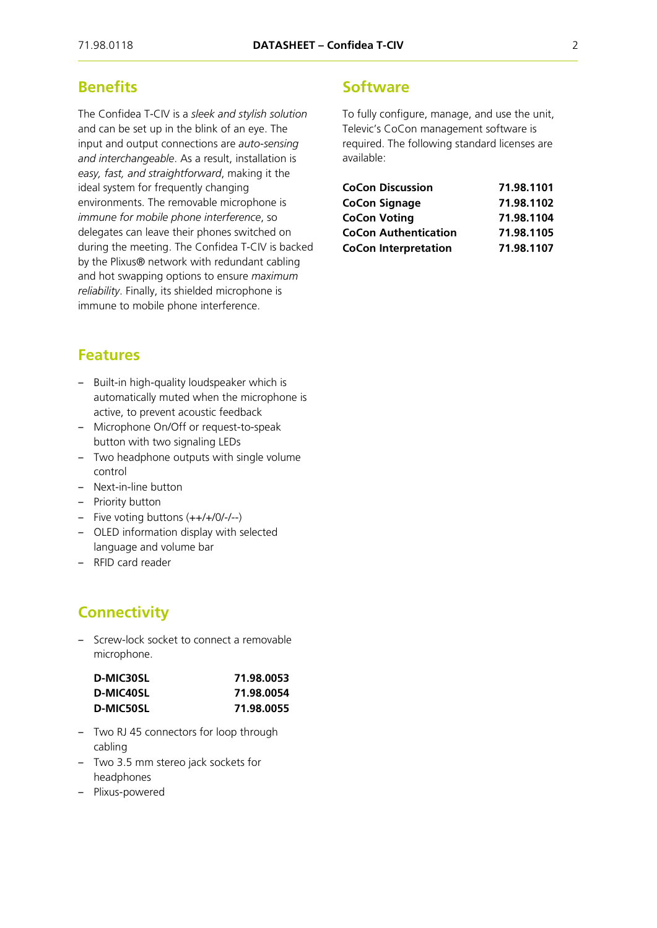### **Benefits**

The Confidea T-CIV is a *sleek and stylish solution* and can be set up in the blink of an eye. The input and output connections are *auto-sensing and interchangeable*. As a result, installation is *easy, fast, and straightforward*, making it the ideal system for frequently changing environments. The removable microphone is *immune for mobile phone interference*, so delegates can leave their phones switched on during the meeting. The Confidea T-CIV is backed by the Plixus® network with redundant cabling and hot swapping options to ensure *maximum reliability*. Finally, its shielded microphone is immune to mobile phone interference.

#### **Features**

- ‒ Built-in high-quality loudspeaker which is automatically muted when the microphone is active, to prevent acoustic feedback
- Microphone On/Off or request-to-speak button with two signaling LEDs
- ‒ Two headphone outputs with single volume control
- Next-in-line button
- Priority button
- ‒ Five voting buttons (++/+/0/-/--)
- OLED information display with selected language and volume bar
- ‒ RFID card reader

### **Connectivity**

- Screw-lock socket to connect a removable microphone.

| D-MIC30SL | 71.98.0053 |  |
|-----------|------------|--|
| D-MIC40SL | 71.98.0054 |  |
| D-MIC50SL | 71.98.0055 |  |

- ‒ Two RJ 45 connectors for loop through cabling
- ‒ Two 3.5 mm stereo jack sockets for headphones
- ‒ Plixus-powered

#### **Software**

To fully configure, manage, and use the unit, Televic's CoCon management software is required. The following standard licenses are available:

| <b>CoCon Discussion</b>     | 71.98.1101 |
|-----------------------------|------------|
| <b>CoCon Signage</b>        | 71.98.1102 |
| <b>CoCon Voting</b>         | 71.98.1104 |
| <b>CoCon Authentication</b> | 71.98.1105 |
| <b>CoCon Interpretation</b> | 71.98.1107 |
|                             |            |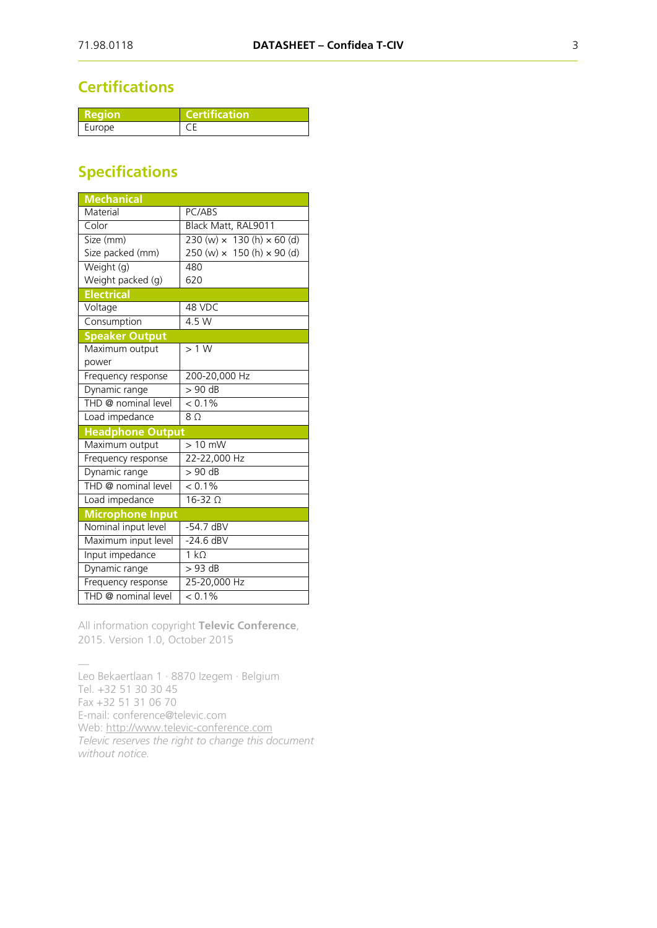## **Certifications**

| Reaion | <b>Certification</b> |
|--------|----------------------|
| Europe |                      |

## **Specifications**

| <b>Mechanical</b>       |                                          |
|-------------------------|------------------------------------------|
| Material                | PC/ABS                                   |
| Color                   | Black Matt, RAL9011                      |
| Size (mm)               | 230 (w) $\times$ 130 (h) $\times$ 60 (d) |
| Size packed (mm)        | 250 (w) $\times$ 150 (h) $\times$ 90 (d) |
| Weight (g)              | 480                                      |
| Weight packed (g)       | 620                                      |
| <b>Electrical</b>       |                                          |
| Voltage                 | 48 VDC                                   |
| Consumption             | 4.5 W                                    |
| <b>Speaker Output</b>   |                                          |
| Maximum output          | >1 W                                     |
| power                   |                                          |
| Frequency response      | 200-20,000 Hz                            |
| Dynamic range           | $> 90$ dB                                |
| THD @ nominal level     | $< 0.1\%$                                |
| Load impedance          | 8 <sub>0</sub>                           |
| <b>Headphone Output</b> |                                          |
| Maximum output          | $>10$ mW                                 |
| Frequency response      | 22-22,000 Hz                             |
| Dynamic range           | $> 90$ dB                                |
| THD @ nominal level     | $< 0.1\%$                                |
| Load impedance          | $16-32$ $\Omega$                         |
| <b>Microphone Input</b> |                                          |
| Nominal input level     | $-54.7$ dBV                              |
| Maximum input level     | $-24.6$ dBV                              |
| Input impedance         | $1 k\Omega$                              |
| Dynamic range           | $>93$ dB                                 |
| Frequency response      | 25-20,000 Hz                             |
| THD @ nominal level     | $< 0.1\%$                                |

All information copyright **Televic Conference**, 2015. Version 1.0, October 2015

— Leo Bekaertlaan 1 · 8870 Izegem · Belgium Tel. +32 51 30 30 45 Fax +32 51 31 06 70 E-mail: conference@televic.com Web: [http://www.televic-conference.com](http://www.televic-conference.com/) *Televic reserves the right to change this document without notice.*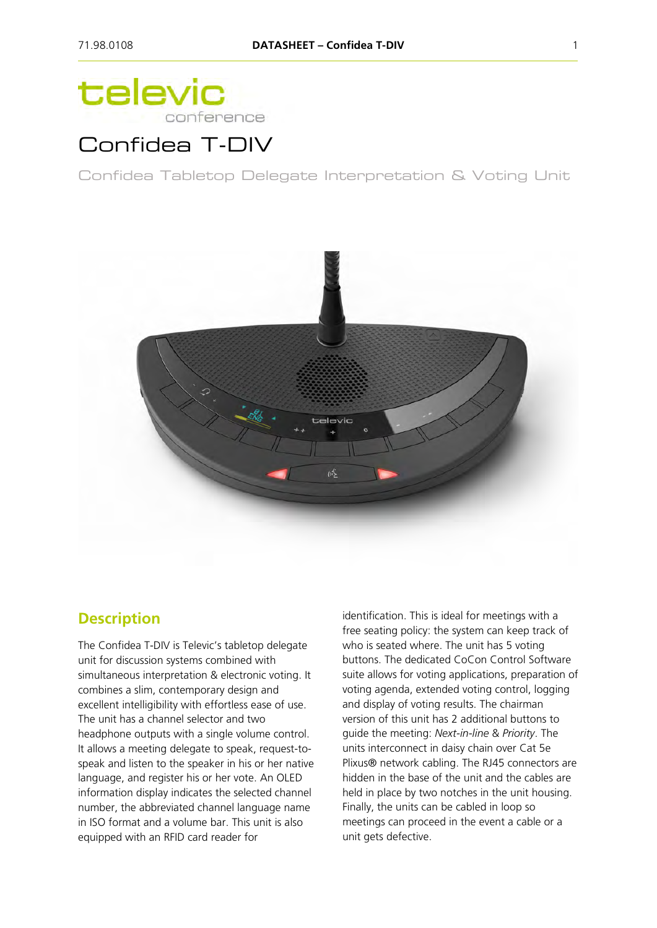# televic conference

# Confidea T-DIV

Confidea Tabletop Delegate Interpretation & Voting Unit



### **Description**

The Confidea T-DIV is Televic's tabletop delegate unit for discussion systems combined with simultaneous interpretation & electronic voting. It combines a slim, contemporary design and excellent intelligibility with effortless ease of use. The unit has a channel selector and two headphone outputs with a single volume control. It allows a meeting delegate to speak, request-tospeak and listen to the speaker in his or her native language, and register his or her vote. An OLED information display indicates the selected channel number, the abbreviated channel language name in ISO format and a volume bar. This unit is also equipped with an RFID card reader for

identification. This is ideal for meetings with a free seating policy: the system can keep track of who is seated where. The unit has 5 voting buttons. The dedicated CoCon Control Software suite allows for voting applications, preparation of voting agenda, extended voting control, logging and display of voting results. The chairman version of this unit has 2 additional buttons to guide the meeting: *Next-in-line* & *Priority*. The units interconnect in daisy chain over Cat 5e Plixus® network cabling. The RJ45 connectors are hidden in the base of the unit and the cables are held in place by two notches in the unit housing. Finally, the units can be cabled in loop so meetings can proceed in the event a cable or a unit gets defective.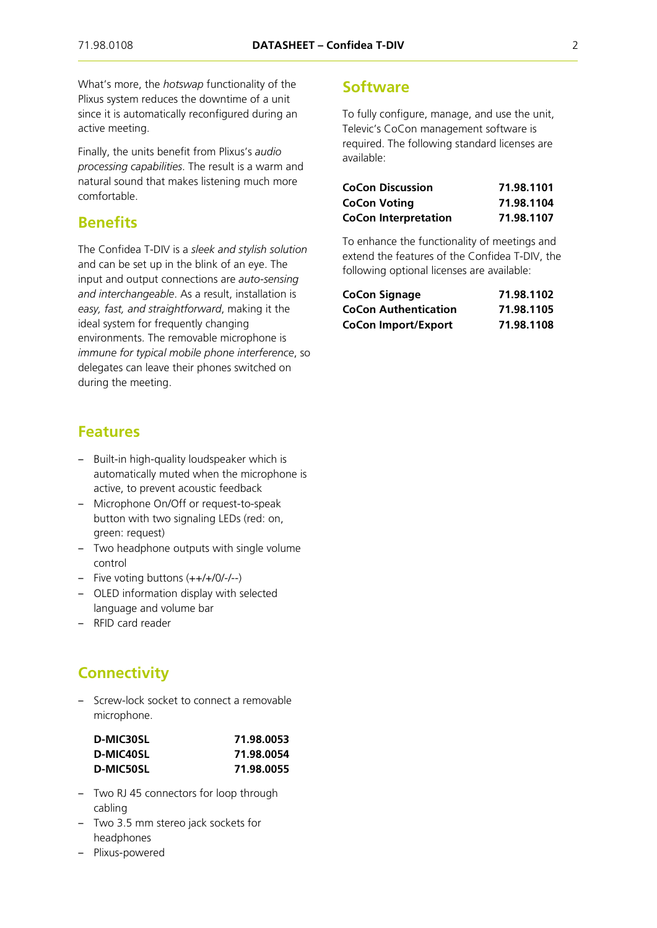What's more, the *hotswap* functionality of the Plixus system reduces the downtime of a unit since it is automatically reconfigured during an active meeting.

Finally, the units benefit from Plixus's *audio processing capabilities*. The result is a warm and natural sound that makes listening much more comfortable.

### **Benefits**

The Confidea T-DIV is a *sleek and stylish solution* and can be set up in the blink of an eye. The input and output connections are *auto-sensing and interchangeable*. As a result, installation is *easy, fast, and straightforward*, making it the ideal system for frequently changing environments. The removable microphone is *immune for typical mobile phone interference*, so delegates can leave their phones switched on during the meeting.

#### **Features**

- Built-in high-quality loudspeaker which is automatically muted when the microphone is active, to prevent acoustic feedback
- ‒ Microphone On/Off or request-to-speak button with two signaling LEDs (red: on, green: request)
- Two headphone outputs with single volume control
- $-$  Five voting buttons  $(++/-)/(-/-)$
- ‒ OLED information display with selected language and volume bar
- ‒ RFID card reader

## **Connectivity**

‒ Screw-lock socket to connect a removable microphone.

| D-MIC30SL | 71.98.0053 |  |
|-----------|------------|--|
| D-MIC40SL | 71.98.0054 |  |
| D-MIC50SL | 71.98.0055 |  |

- ‒ Two RJ 45 connectors for loop through cabling
- ‒ Two 3.5 mm stereo jack sockets for headphones
- ‒ Plixus-powered

#### **Software**

To fully configure, manage, and use the unit, Televic's CoCon management software is required. The following standard licenses are available:

| <b>CoCon Discussion</b>     | 71.98.1101 |
|-----------------------------|------------|
| <b>CoCon Voting</b>         | 71.98.1104 |
| <b>CoCon Interpretation</b> | 71.98.1107 |

To enhance the functionality of meetings and extend the features of the Confidea T-DIV, the following optional licenses are available:

| <b>CoCon Signage</b>        | 71.98.1102 |
|-----------------------------|------------|
| <b>CoCon Authentication</b> | 71.98.1105 |
| <b>CoCon Import/Export</b>  | 71.98.1108 |